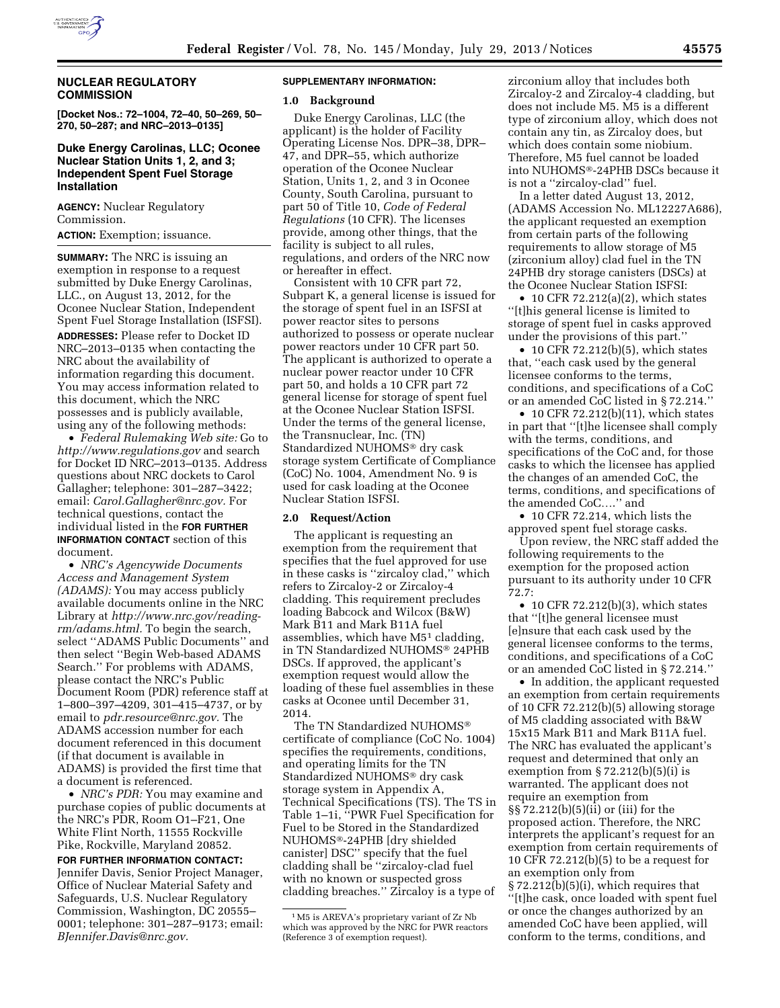

# **NUCLEAR REGULATORY COMMISSION**

**[Docket Nos.: 72–1004, 72–40, 50–269, 50– 270, 50–287; and NRC–2013–0135]** 

## **Duke Energy Carolinas, LLC; Oconee Nuclear Station Units 1, 2, and 3; Independent Spent Fuel Storage Installation**

**AGENCY:** Nuclear Regulatory Commission.

**ACTION:** Exemption; issuance.

**SUMMARY:** The NRC is issuing an exemption in response to a request submitted by Duke Energy Carolinas, LLC., on August 13, 2012, for the Oconee Nuclear Station, Independent Spent Fuel Storage Installation (ISFSI). **ADDRESSES:** Please refer to Docket ID NRC–2013–0135 when contacting the NRC about the availability of information regarding this document. You may access information related to this document, which the NRC possesses and is publicly available, using any of the following methods:

• *Federal Rulemaking Web site:* Go to *<http://www.regulations.gov>* and search for Docket ID NRC–2013–0135. Address questions about NRC dockets to Carol Gallagher; telephone: 301–287–3422; email: *[Carol.Gallagher@nrc.gov.](mailto:Carol.Gallagher@nrc.gov)* For technical questions, contact the individual listed in the **FOR FURTHER INFORMATION CONTACT** section of this document.

• *NRC's Agencywide Documents Access and Management System (ADAMS):* You may access publicly available documents online in the NRC Library at *[http://www.nrc.gov/reading](http://www.nrc.gov/reading-rm/adams.html)[rm/adams.html.](http://www.nrc.gov/reading-rm/adams.html)* To begin the search, select ''ADAMS Public Documents'' and then select ''Begin Web-based ADAMS Search.'' For problems with ADAMS, please contact the NRC's Public Document Room (PDR) reference staff at 1–800–397–4209, 301–415–4737, or by email to *[pdr.resource@nrc.gov.](mailto:pdr.resource@nrc.gov)* The ADAMS accession number for each document referenced in this document (if that document is available in ADAMS) is provided the first time that a document is referenced.

• *NRC's PDR:* You may examine and purchase copies of public documents at the NRC's PDR, Room O1–F21, One White Flint North, 11555 Rockville Pike, Rockville, Maryland 20852.

**FOR FURTHER INFORMATION CONTACT:**  Jennifer Davis, Senior Project Manager, Office of Nuclear Material Safety and Safeguards, U.S. Nuclear Regulatory Commission, Washington, DC 20555– 0001; telephone: 301–287–9173; email: *[BJennifer.Davis@nrc.gov.](mailto:BJennifer.Davis@nrc.gov)* 

## **SUPPLEMENTARY INFORMATION:**

#### **1.0 Background**

Duke Energy Carolinas, LLC (the applicant) is the holder of Facility Operating License Nos. DPR–38, DPR– 47, and DPR–55, which authorize operation of the Oconee Nuclear Station, Units 1, 2, and 3 in Oconee County, South Carolina, pursuant to part 50 of Title 10, *Code of Federal Regulations* (10 CFR). The licenses provide, among other things, that the facility is subject to all rules, regulations, and orders of the NRC now or hereafter in effect.

Consistent with 10 CFR part 72, Subpart K, a general license is issued for the storage of spent fuel in an ISFSI at power reactor sites to persons authorized to possess or operate nuclear power reactors under 10 CFR part 50. The applicant is authorized to operate a nuclear power reactor under 10 CFR part 50, and holds a 10 CFR part 72 general license for storage of spent fuel at the Oconee Nuclear Station ISFSI. Under the terms of the general license, the Transnuclear, Inc. (TN) Standardized NUHOMS® dry cask storage system Certificate of Compliance (CoC) No. 1004, Amendment No. 9 is used for cask loading at the Oconee Nuclear Station ISFSI.

#### **2.0 Request/Action**

The applicant is requesting an exemption from the requirement that specifies that the fuel approved for use in these casks is ''zircaloy clad,'' which refers to Zircaloy-2 or Zircaloy-4 cladding. This requirement precludes loading Babcock and Wilcox (B&W) Mark B11 and Mark B11A fuel assemblies, which have M51 cladding, in TN Standardized NUHOMS® 24PHB DSCs. If approved, the applicant's exemption request would allow the loading of these fuel assemblies in these casks at Oconee until December 31, 2014.

The TN Standardized NUHOMS® certificate of compliance (CoC No. 1004) specifies the requirements, conditions, and operating limits for the TN Standardized NUHOMS® dry cask storage system in Appendix A, Technical Specifications (TS). The TS in Table 1–1i, ''PWR Fuel Specification for Fuel to be Stored in the Standardized NUHOMS®-24PHB [dry shielded canister] DSC'' specify that the fuel cladding shall be ''zircaloy-clad fuel with no known or suspected gross cladding breaches.'' Zircaloy is a type of zirconium alloy that includes both Zircaloy-2 and Zircaloy-4 cladding, but does not include M5. M5 is a different type of zirconium alloy, which does not contain any tin, as Zircaloy does, but which does contain some niobium. Therefore, M5 fuel cannot be loaded into NUHOMS®-24PHB DSCs because it is not a ''zircaloy-clad'' fuel.

In a letter dated August 13, 2012, (ADAMS Accession No. ML12227A686), the applicant requested an exemption from certain parts of the following requirements to allow storage of M5 (zirconium alloy) clad fuel in the TN 24PHB dry storage canisters (DSCs) at the Oconee Nuclear Station ISFSI:

• 10 CFR 72.212(a)(2), which states ''[t]his general license is limited to storage of spent fuel in casks approved under the provisions of this part.''

• 10 CFR 72.212 $(b)(5)$ , which states that, ''each cask used by the general licensee conforms to the terms, conditions, and specifications of a CoC or an amended CoC listed in § 72.214.''

• 10 CFR 72.212(b)(11), which states in part that ''[t]he licensee shall comply with the terms, conditions, and specifications of the CoC and, for those casks to which the licensee has applied the changes of an amended CoC, the terms, conditions, and specifications of the amended CoC….'' and

• 10 CFR 72.214, which lists the approved spent fuel storage casks.

Upon review, the NRC staff added the following requirements to the exemption for the proposed action pursuant to its authority under 10 CFR 72.7:

• 10 CFR 72.212(b)(3), which states that ''[t]he general licensee must [e]nsure that each cask used by the general licensee conforms to the terms, conditions, and specifications of a CoC or an amended CoC listed in § 72.214.''

• In addition, the applicant requested an exemption from certain requirements of 10 CFR 72.212(b)(5) allowing storage of M5 cladding associated with B&W 15x15 Mark B11 and Mark B11A fuel. The NRC has evaluated the applicant's request and determined that only an exemption from  $\S 72.212(b)(5)(i)$  is warranted. The applicant does not require an exemption from §§ 72.212(b)(5)(ii) or (iii) for the proposed action. Therefore, the NRC interprets the applicant's request for an exemption from certain requirements of 10 CFR 72.212(b)(5) to be a request for an exemption only from § 72.212(b)(5)(i), which requires that ''[t]he cask, once loaded with spent fuel or once the changes authorized by an amended CoC have been applied, will conform to the terms, conditions, and

<sup>1</sup>M5 is AREVA's proprietary variant of Zr Nb which was approved by the NRC for PWR reactors (Reference 3 of exemption request).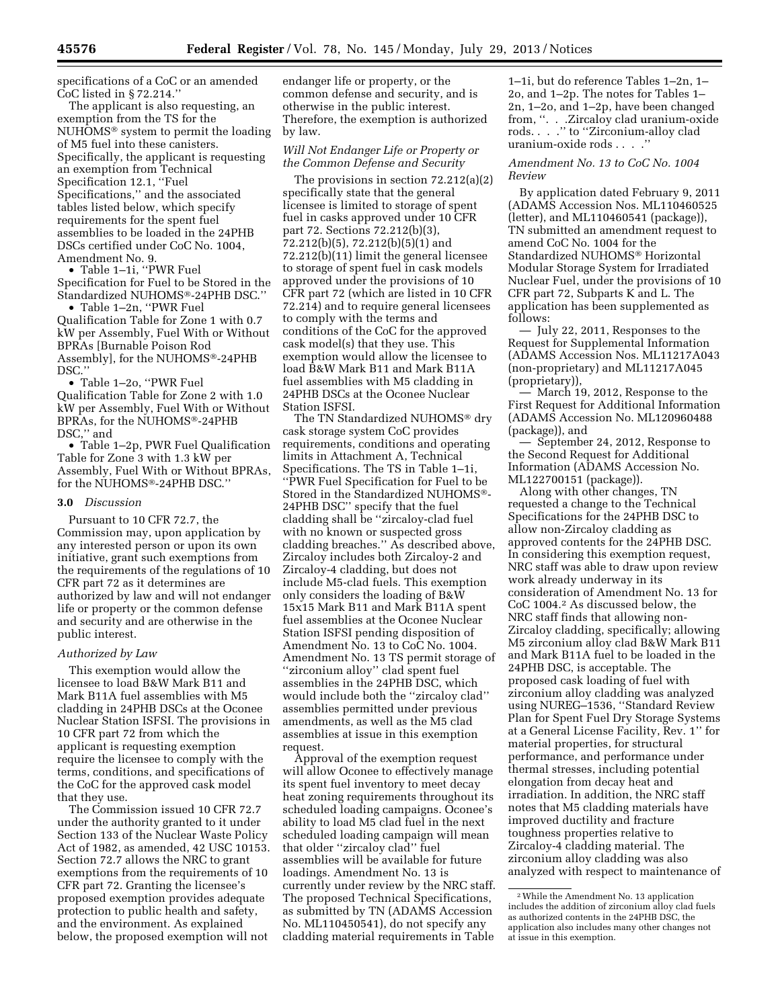specifications of a CoC or an amended CoC listed in § 72.214.''

The applicant is also requesting, an exemption from the TS for the NUHOMS® system to permit the loading of M5 fuel into these canisters. Specifically, the applicant is requesting an exemption from Technical Specification 12.1, ''Fuel Specifications,'' and the associated tables listed below, which specify requirements for the spent fuel assemblies to be loaded in the 24PHB DSCs certified under CoC No. 1004, Amendment No. 9.

• Table 1–1i, ''PWR Fuel Specification for Fuel to be Stored in the Standardized NUHOMS®-24PHB DSC.'' • Table 1–2n, ''PWR Fuel

Qualification Table for Zone 1 with 0.7 kW per Assembly, Fuel With or Without BPRAs [Burnable Poison Rod Assembly], for the NUHOMS®-24PHB DSC.''

• Table 1–2o, ''PWR Fuel Qualification Table for Zone 2 with 1.0 kW per Assembly, Fuel With or Without BPRAs, for the NUHOMS®-24PHB DSC,'' and

• Table 1–2p, PWR Fuel Qualification Table for Zone 3 with 1.3 kW per Assembly, Fuel With or Without BPRAs, for the NUHOMS®-24PHB DSC.''

#### **3.0** *Discussion*

Pursuant to 10 CFR 72.7, the Commission may, upon application by any interested person or upon its own initiative, grant such exemptions from the requirements of the regulations of 10 CFR part 72 as it determines are authorized by law and will not endanger life or property or the common defense and security and are otherwise in the public interest.

#### *Authorized by Law*

This exemption would allow the licensee to load B&W Mark B11 and Mark B11A fuel assemblies with M5 cladding in 24PHB DSCs at the Oconee Nuclear Station ISFSI. The provisions in 10 CFR part 72 from which the applicant is requesting exemption require the licensee to comply with the terms, conditions, and specifications of the CoC for the approved cask model that they use.

The Commission issued 10 CFR 72.7 under the authority granted to it under Section 133 of the Nuclear Waste Policy Act of 1982, as amended, 42 USC 10153. Section 72.7 allows the NRC to grant exemptions from the requirements of 10 CFR part 72. Granting the licensee's proposed exemption provides adequate protection to public health and safety, and the environment. As explained below, the proposed exemption will not

endanger life or property, or the common defense and security, and is otherwise in the public interest. Therefore, the exemption is authorized by law.

### *Will Not Endanger Life or Property or the Common Defense and Security*

The provisions in section 72.212(a)(2) specifically state that the general licensee is limited to storage of spent fuel in casks approved under 10 CFR part 72. Sections 72.212(b)(3), 72.212(b)(5), 72.212(b)(5)(1) and 72.212(b)(11) limit the general licensee to storage of spent fuel in cask models approved under the provisions of 10 CFR part 72 (which are listed in 10 CFR 72.214) and to require general licensees to comply with the terms and conditions of the CoC for the approved cask model(s) that they use. This exemption would allow the licensee to load B&W Mark B11 and Mark B11A fuel assemblies with M5 cladding in 24PHB DSCs at the Oconee Nuclear Station ISFSI.

The TN Standardized NUHOMS® dry cask storage system CoC provides requirements, conditions and operating limits in Attachment A, Technical Specifications. The TS in Table 1–1i, ''PWR Fuel Specification for Fuel to be Stored in the Standardized NUHOMS®- 24PHB DSC'' specify that the fuel cladding shall be ''zircaloy-clad fuel with no known or suspected gross cladding breaches.'' As described above, Zircaloy includes both Zircaloy-2 and Zircaloy-4 cladding, but does not include M5-clad fuels. This exemption only considers the loading of B&W 15x15 Mark B11 and Mark B11A spent fuel assemblies at the Oconee Nuclear Station ISFSI pending disposition of Amendment No. 13 to CoC No. 1004. Amendment No. 13 TS permit storage of ''zirconium alloy'' clad spent fuel assemblies in the 24PHB DSC, which would include both the ''zircaloy clad'' assemblies permitted under previous amendments, as well as the M5 clad assemblies at issue in this exemption request.

Approval of the exemption request will allow Oconee to effectively manage its spent fuel inventory to meet decay heat zoning requirements throughout its scheduled loading campaigns. Oconee's ability to load M5 clad fuel in the next scheduled loading campaign will mean that older ''zircaloy clad'' fuel assemblies will be available for future loadings. Amendment No. 13 is currently under review by the NRC staff. The proposed Technical Specifications, as submitted by TN (ADAMS Accession No. ML110450541), do not specify any cladding material requirements in Table

1–1i, but do reference Tables 1–2n, 1– 2o, and 1–2p. The notes for Tables 1– 2n, 1–2o, and 1–2p, have been changed from, ''. . .Zircaloy clad uranium-oxide rods. . . .'' to ''Zirconium-alloy clad uranium-oxide rods . . . .''

## *Amendment No. 13 to CoC No. 1004 Review*

By application dated February 9, 2011 (ADAMS Accession Nos. ML110460525 (letter), and ML110460541 (package)), TN submitted an amendment request to amend CoC No. 1004 for the Standardized NUHOMS® Horizontal Modular Storage System for Irradiated Nuclear Fuel, under the provisions of 10 CFR part 72, Subparts K and L. The application has been supplemented as follows:

— July 22, 2011, Responses to the Request for Supplemental Information (ADAMS Accession Nos. ML11217A043 (non-proprietary) and ML11217A045 (proprietary)),

— March 19, 2012, Response to the First Request for Additional Information (ADAMS Accession No. ML120960488 (package)), and

— September 24, 2012, Response to the Second Request for Additional Information (ADAMS Accession No. ML122700151 (package)).

Along with other changes, TN requested a change to the Technical Specifications for the 24PHB DSC to allow non-Zircaloy cladding as approved contents for the 24PHB DSC. In considering this exemption request, NRC staff was able to draw upon review work already underway in its consideration of Amendment No. 13 for CoC 1004.2 As discussed below, the NRC staff finds that allowing non-Zircaloy cladding, specifically; allowing M5 zirconium alloy clad B&W Mark B11 and Mark B11A fuel to be loaded in the 24PHB DSC, is acceptable. The proposed cask loading of fuel with zirconium alloy cladding was analyzed using NUREG–1536, ''Standard Review Plan for Spent Fuel Dry Storage Systems at a General License Facility, Rev. 1'' for material properties, for structural performance, and performance under thermal stresses, including potential elongation from decay heat and irradiation. In addition, the NRC staff notes that M5 cladding materials have improved ductility and fracture toughness properties relative to Zircaloy-4 cladding material. The zirconium alloy cladding was also analyzed with respect to maintenance of

<sup>2</sup>While the Amendment No. 13 application includes the addition of zirconium alloy clad fuels as authorized contents in the 24PHB DSC, the application also includes many other changes not at issue in this exemption.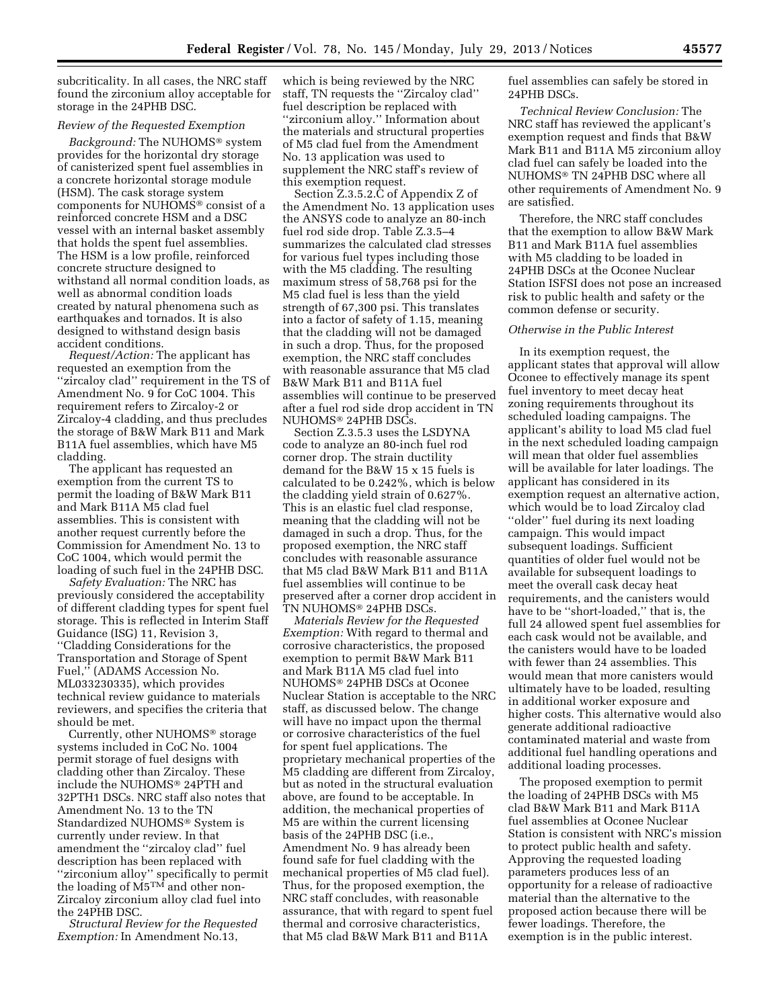subcriticality. In all cases, the NRC staff found the zirconium alloy acceptable for storage in the 24PHB DSC.

## *Review of the Requested Exemption*

*Background:* The NUHOMS® system provides for the horizontal dry storage of canisterized spent fuel assemblies in a concrete horizontal storage module (HSM). The cask storage system components for NUHOMS® consist of a reinforced concrete HSM and a DSC vessel with an internal basket assembly that holds the spent fuel assemblies. The HSM is a low profile, reinforced concrete structure designed to withstand all normal condition loads, as well as abnormal condition loads created by natural phenomena such as earthquakes and tornados. It is also designed to withstand design basis accident conditions.

*Request/Action:* The applicant has requested an exemption from the ''zircaloy clad'' requirement in the TS of Amendment No. 9 for CoC 1004. This requirement refers to Zircaloy-2 or Zircaloy-4 cladding, and thus precludes the storage of B&W Mark B11 and Mark B11A fuel assemblies, which have M5 cladding.

The applicant has requested an exemption from the current TS to permit the loading of B&W Mark B11 and Mark B11A M5 clad fuel assemblies. This is consistent with another request currently before the Commission for Amendment No. 13 to CoC 1004, which would permit the loading of such fuel in the 24PHB DSC.

*Safety Evaluation:* The NRC has previously considered the acceptability of different cladding types for spent fuel storage. This is reflected in Interim Staff Guidance (ISG) 11, Revision 3, ''Cladding Considerations for the Transportation and Storage of Spent Fuel,'' (ADAMS Accession No. ML033230335), which provides technical review guidance to materials reviewers, and specifies the criteria that should be met.

Currently, other NUHOMS® storage systems included in CoC No. 1004 permit storage of fuel designs with cladding other than Zircaloy. These include the NUHOMS® 24PTH and 32PTH1 DSCs. NRC staff also notes that Amendment No. 13 to the TN Standardized NUHOMS® System is currently under review. In that amendment the ''zircaloy clad'' fuel description has been replaced with ''zirconium alloy'' specifically to permit the loading of M5TM and other non-Zircaloy zirconium alloy clad fuel into the 24PHB DSC.

*Structural Review for the Requested Exemption:* In Amendment No.13,

which is being reviewed by the NRC staff, TN requests the ''Zircaloy clad'' fuel description be replaced with ''zirconium alloy.'' Information about the materials and structural properties of M5 clad fuel from the Amendment No. 13 application was used to supplement the NRC staff's review of this exemption request.

Section Z.3.5.2.C of Appendix Z of the Amendment No. 13 application uses the ANSYS code to analyze an 80-inch fuel rod side drop. Table Z.3.5–4 summarizes the calculated clad stresses for various fuel types including those with the M5 cladding. The resulting maximum stress of 58,768 psi for the M5 clad fuel is less than the yield strength of 67,300 psi. This translates into a factor of safety of 1.15, meaning that the cladding will not be damaged in such a drop. Thus, for the proposed exemption, the NRC staff concludes with reasonable assurance that M5 clad B&W Mark B11 and B11A fuel assemblies will continue to be preserved after a fuel rod side drop accident in TN NUHOMS® 24PHB DSCs.

Section Z.3.5.3 uses the LSDYNA code to analyze an 80-inch fuel rod corner drop. The strain ductility demand for the B&W 15 x 15 fuels is calculated to be 0.242%, which is below the cladding yield strain of 0.627%. This is an elastic fuel clad response, meaning that the cladding will not be damaged in such a drop. Thus, for the proposed exemption, the NRC staff concludes with reasonable assurance that M5 clad B&W Mark B11 and B11A fuel assemblies will continue to be preserved after a corner drop accident in TN NUHOMS® 24PHB DSCs.

*Materials Review for the Requested Exemption:* With regard to thermal and corrosive characteristics, the proposed exemption to permit B&W Mark B11 and Mark B11A M5 clad fuel into NUHOMS® 24PHB DSCs at Oconee Nuclear Station is acceptable to the NRC staff, as discussed below. The change will have no impact upon the thermal or corrosive characteristics of the fuel for spent fuel applications. The proprietary mechanical properties of the M5 cladding are different from Zircaloy, but as noted in the structural evaluation above, are found to be acceptable. In addition, the mechanical properties of M5 are within the current licensing basis of the 24PHB DSC (i.e., Amendment No. 9 has already been found safe for fuel cladding with the mechanical properties of M5 clad fuel). Thus, for the proposed exemption, the NRC staff concludes, with reasonable assurance, that with regard to spent fuel thermal and corrosive characteristics, that M5 clad B&W Mark B11 and B11A

fuel assemblies can safely be stored in 24PHB DSCs.

*Technical Review Conclusion:* The NRC staff has reviewed the applicant's exemption request and finds that B&W Mark B11 and B11A M5 zirconium alloy clad fuel can safely be loaded into the NUHOMS® TN 24PHB DSC where all other requirements of Amendment No. 9 are satisfied.

Therefore, the NRC staff concludes that the exemption to allow B&W Mark B11 and Mark B11A fuel assemblies with M5 cladding to be loaded in 24PHB DSCs at the Oconee Nuclear Station ISFSI does not pose an increased risk to public health and safety or the common defense or security.

# *Otherwise in the Public Interest*

In its exemption request, the applicant states that approval will allow Oconee to effectively manage its spent fuel inventory to meet decay heat zoning requirements throughout its scheduled loading campaigns. The applicant's ability to load M5 clad fuel in the next scheduled loading campaign will mean that older fuel assemblies will be available for later loadings. The applicant has considered in its exemption request an alternative action, which would be to load Zircaloy clad ''older'' fuel during its next loading campaign. This would impact subsequent loadings. Sufficient quantities of older fuel would not be available for subsequent loadings to meet the overall cask decay heat requirements, and the canisters would have to be ''short-loaded,'' that is, the full 24 allowed spent fuel assemblies for each cask would not be available, and the canisters would have to be loaded with fewer than 24 assemblies. This would mean that more canisters would ultimately have to be loaded, resulting in additional worker exposure and higher costs. This alternative would also generate additional radioactive contaminated material and waste from additional fuel handling operations and additional loading processes.

The proposed exemption to permit the loading of 24PHB DSCs with M5 clad B&W Mark B11 and Mark B11A fuel assemblies at Oconee Nuclear Station is consistent with NRC's mission to protect public health and safety. Approving the requested loading parameters produces less of an opportunity for a release of radioactive material than the alternative to the proposed action because there will be fewer loadings. Therefore, the exemption is in the public interest.